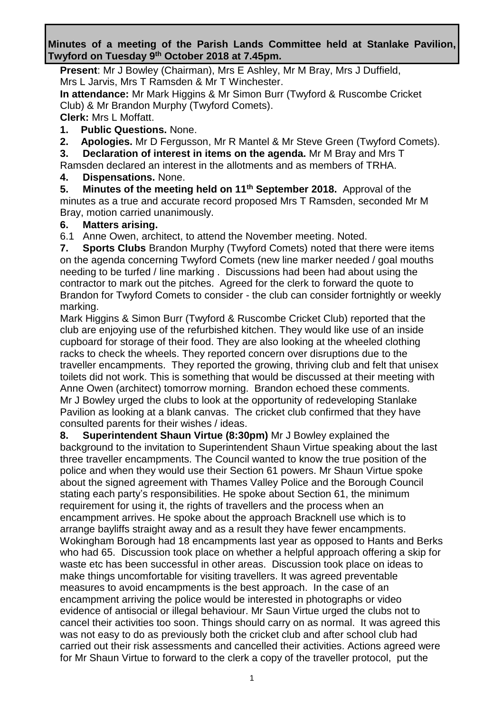#### **Minutes of a meeting of the Parish Lands Committee held at Stanlake Pavilion, Twyford on Tuesday 9 th October 2018 at 7.45pm.**

**Present**: Mr J Bowley (Chairman), Mrs E Ashley, Mr M Bray, Mrs J Duffield, Mrs L Jarvis, Mrs T Ramsden & Mr T Winchester.

**In attendance:** Mr Mark Higgins & Mr Simon Burr (Twyford & Ruscombe Cricket Club) & Mr Brandon Murphy (Twyford Comets).

**Clerk:** Mrs L Moffatt.

**1. Public Questions.** None.

**2. Apologies.** Mr D Fergusson, Mr R Mantel & Mr Steve Green (Twyford Comets).

**3. Declaration of interest in items on the agenda.** Mr M Bray and Mrs T

Ramsden declared an interest in the allotments and as members of TRHA.

**4. Dispensations.** None.

**5. Minutes of the meeting held on 11th September 2018.** Approval of the minutes as a true and accurate record proposed Mrs T Ramsden, seconded Mr M Bray, motion carried unanimously.

# **6. Matters arising.**

6.1Anne Owen, architect, to attend the November meeting. Noted.

**7. Sports Clubs** Brandon Murphy (Twyford Comets) noted that there were items on the agenda concerning Twyford Comets (new line marker needed / goal mouths needing to be turfed / line marking . Discussions had been had about using the contractor to mark out the pitches. Agreed for the clerk to forward the quote to Brandon for Twyford Comets to consider - the club can consider fortnightly or weekly marking.

Mark Higgins & Simon Burr (Twyford & Ruscombe Cricket Club) reported that the club are enjoying use of the refurbished kitchen. They would like use of an inside cupboard for storage of their food. They are also looking at the wheeled clothing racks to check the wheels. They reported concern over disruptions due to the traveller encampments. They reported the growing, thriving club and felt that unisex toilets did not work. This is something that would be discussed at their meeting with Anne Owen (architect) tomorrow morning. Brandon echoed these comments. Mr J Bowley urged the clubs to look at the opportunity of redeveloping Stanlake Pavilion as looking at a blank canvas. The cricket club confirmed that they have consulted parents for their wishes / ideas.

**8. Superintendent Shaun Virtue (8:30pm)** Mr J Bowley explained the background to the invitation to Superintendent Shaun Virtue speaking about the last three traveller encampments. The Council wanted to know the true position of the police and when they would use their Section 61 powers. Mr Shaun Virtue spoke about the signed agreement with Thames Valley Police and the Borough Council stating each party's responsibilities. He spoke about Section 61, the minimum requirement for using it, the rights of travellers and the process when an encampment arrives. He spoke about the approach Bracknell use which is to arrange bayliffs straight away and as a result they have fewer encampments. Wokingham Borough had 18 encampments last year as opposed to Hants and Berks who had 65. Discussion took place on whether a helpful approach offering a skip for waste etc has been successful in other areas. Discussion took place on ideas to make things uncomfortable for visiting travellers. It was agreed preventable measures to avoid encampments is the best approach. In the case of an encampment arriving the police would be interested in photographs or video evidence of antisocial or illegal behaviour. Mr Saun Virtue urged the clubs not to cancel their activities too soon. Things should carry on as normal. It was agreed this was not easy to do as previously both the cricket club and after school club had carried out their risk assessments and cancelled their activities. Actions agreed were for Mr Shaun Virtue to forward to the clerk a copy of the traveller protocol, put the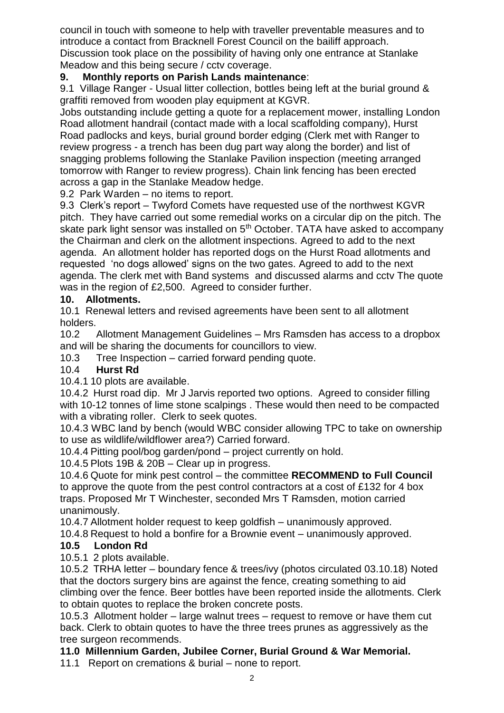council in touch with someone to help with traveller preventable measures and to introduce a contact from Bracknell Forest Council on the bailiff approach. Discussion took place on the possibility of having only one entrance at Stanlake Meadow and this being secure / cctv coverage.

### **9. Monthly reports on Parish Lands maintenance**:

9.1 Village Ranger - Usual litter collection, bottles being left at the burial ground & graffiti removed from wooden play equipment at KGVR.

Jobs outstanding include getting a quote for a replacement mower, installing London Road allotment handrail (contact made with a local scaffolding company), Hurst Road padlocks and keys, burial ground border edging (Clerk met with Ranger to review progress - a trench has been dug part way along the border) and list of snagging problems following the Stanlake Pavilion inspection (meeting arranged tomorrow with Ranger to review progress). Chain link fencing has been erected across a gap in the Stanlake Meadow hedge.

9.2 Park Warden – no items to report.

9.3 Clerk's report – Twyford Comets have requested use of the northwest KGVR pitch. They have carried out some remedial works on a circular dip on the pitch. The skate park light sensor was installed on 5<sup>th</sup> October. TATA have asked to accompany the Chairman and clerk on the allotment inspections. Agreed to add to the next agenda. An allotment holder has reported dogs on the Hurst Road allotments and requested 'no dogs allowed' signs on the two gates. Agreed to add to the next agenda. The clerk met with Band systems and discussed alarms and cctv The quote was in the region of £2,500. Agreed to consider further.

#### **10. Allotments.**

10.1 Renewal letters and revised agreements have been sent to all allotment holders.

10.2 Allotment Management Guidelines – Mrs Ramsden has access to a dropbox and will be sharing the documents for councillors to view.

10.3 Tree Inspection – carried forward pending quote.

# 10.4 **Hurst Rd**

10.4.1 10 plots are available.

10.4.2 Hurst road dip. Mr J Jarvis reported two options. Agreed to consider filling with 10-12 tonnes of lime stone scalpings . These would then need to be compacted with a vibrating roller. Clerk to seek quotes.

10.4.3 WBC land by bench (would WBC consider allowing TPC to take on ownership to use as wildlife/wildflower area?) Carried forward.

10.4.4 Pitting pool/bog garden/pond – project currently on hold.

10.4.5 Plots 19B & 20B – Clear up in progress.

10.4.6 Quote for mink pest control – the committee **RECOMMEND to Full Council** to approve the quote from the pest control contractors at a cost of £132 for 4 box traps. Proposed Mr T Winchester, seconded Mrs T Ramsden, motion carried unanimously.

10.4.7 Allotment holder request to keep goldfish – unanimously approved.

10.4.8 Request to hold a bonfire for a Brownie event – unanimously approved.

#### **10.5 London Rd**

10.5.1 2 plots available.

10.5.2 TRHA letter – boundary fence & trees/ivy (photos circulated 03.10.18) Noted that the doctors surgery bins are against the fence, creating something to aid climbing over the fence. Beer bottles have been reported inside the allotments. Clerk to obtain quotes to replace the broken concrete posts.

10.5.3 Allotment holder – large walnut trees – request to remove or have them cut back. Clerk to obtain quotes to have the three trees prunes as aggressively as the tree surgeon recommends.

#### **11.0 Millennium Garden, Jubilee Corner, Burial Ground & War Memorial.**

11.1 Report on cremations & burial – none to report.